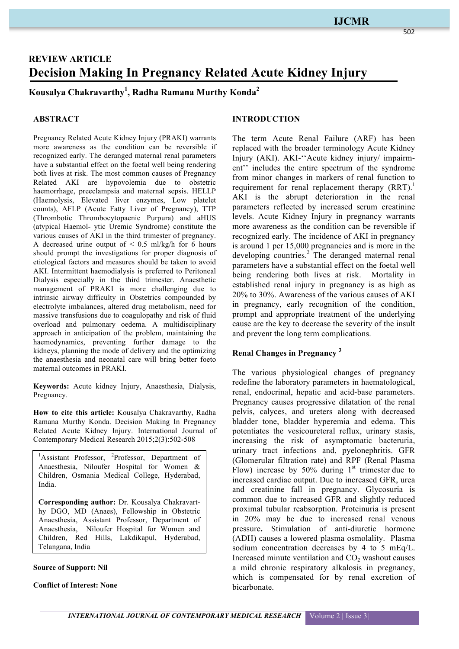# **REVIEW ARTICLE Decision Making In Pregnancy Related Acute Kidney Injury**

# **Kousalya Chakravarthy1 , Radha Ramana Murthy Konda2**

#### **ABSTRACT**

Pregnancy Related Acute Kidney Injury (PRAKI) warrants more awareness as the condition can be reversible if recognized early. The deranged maternal renal parameters have a substantial effect on the foetal well being rendering both lives at risk. The most common causes of Pregnancy Related AKI are hypovolemia due to obstetric haemorrhage, preeclampsia and maternal sepsis. HELLP (Haemolysis, Elevated liver enzymes, Low platelet counts), AFLP (Acute Fatty Liver of Pregnancy), TTP (Thrombotic Thrombocytopaenic Purpura) and aHUS (atypical Haemol- ytic Uremic Syndrome) constitute the various causes of AKI in the third trimester of pregnancy. A decreased urine output of  $\leq$  0.5 ml/kg/h for 6 hours should prompt the investigations for proper diagnosis of etiological factors and measures should be taken to avoid AKI. Intermittent haemodialysis is preferred to Peritoneal Dialysis especially in the third trimester. Anaesthetic management of PRAKI is more challenging due to intrinsic airway difficulty in Obstetrics compounded by electrolyte imbalances, altered drug metabolism, need for massive transfusions due to coagulopathy and risk of fluid overload and pulmonary oedema. A multidisciplinary approach in anticipation of the problem, maintaining the haemodynamics, preventing further damage to the kidneys, planning the mode of delivery and the optimizing the anaesthesia and neonatal care will bring better foeto maternal outcomes in PRAKI.

**Keywords:** Acute kidney Injury, Anaesthesia, Dialysis, Pregnancy.

**How to cite this article:** Kousalya Chakravarthy, Radha Ramana Murthy Konda. Decision Making In Pregnancy Related Acute Kidney Injury. International Journal of Contemporary Medical Research 2015;2(3):502-508

<sup>1</sup>Assistant Professor, <sup>2</sup>Professor, Department of Anaesthesia, Niloufer Hospital for Women & Children, Osmania Medical College, Hyderabad, India.

**Corresponding author:** Dr. Kousalya Chakravarthy DGO, MD (Anaes), Fellowship in Obstetric Anaesthesia, Assistant Professor, Department of Anaesthesia, Niloufer Hospital for Women and Children, Red Hills, Lakdikapul, Hyderabad, Telangana, India

#### **Source of Support: Nil**

#### **Conflict of Interest: None**

#### **INTRODUCTION**

The term Acute Renal Failure (ARF) has been replaced with the broader terminology Acute Kidney Injury (AKI). AKI-''Acute kidney injury/ impairment'' includes the entire spectrum of the syndrome from minor changes in markers of renal function to requirement for renal replacement therapy  $(RRT)$ .<sup>1</sup> AKI is the abrupt deterioration in the renal parameters reflected by increased serum creatinine levels. Acute Kidney Injury in pregnancy warrants more awareness as the condition can be reversible if recognized early. The incidence of AKI in pregnancy is around 1 per 15,000 pregnancies and is more in the developing countries.<sup>2</sup> The deranged maternal renal parameters have a substantial effect on the foetal well being rendering both lives at risk. Mortality in established renal injury in pregnancy is as high as 20% to 30%. Awareness of the various causes of AKI in pregnancy, early recognition of the condition, prompt and appropriate treatment of the underlying cause are the key to decrease the severity of the insult and prevent the long term complications.

# **Renal Changes in Pregnancy <sup>3</sup>**

The various physiological changes of pregnancy redefine the laboratory parameters in haematological, renal, endocrinal, hepatic and acid-base parameters. Pregnancy causes progressive dilatation of the renal pelvis, calyces, and ureters along with decreased bladder tone, bladder hyperemia and edema. This potentiates the vesicoureteral reflux, urinary stasis, increasing the risk of asymptomatic bacteruria, urinary tract infections and, pyelonephritis. GFR (Glomerular filtration rate) and RPF (Renal Plasma Flow) increase by 50% during  $1<sup>st</sup>$  trimester due to increased cardiac output. Due to increased GFR, urea and creatinine fall in pregnancy. Glycosuria is common due to increased GFR and slightly reduced proximal tubular reabsorption. Proteinuria is present in 20% may be due to increased renal venous pressure**.** Stimulation of anti-diuretic hormone (ADH) causes a lowered plasma osmolality. Plasma sodium concentration decreases by 4 to 5 mEq/L. Increased minute ventilation and  $CO<sub>2</sub>$  washout causes a mild chronic respiratory alkalosis in pregnancy, which is compensated for by renal excretion of bicarbonate.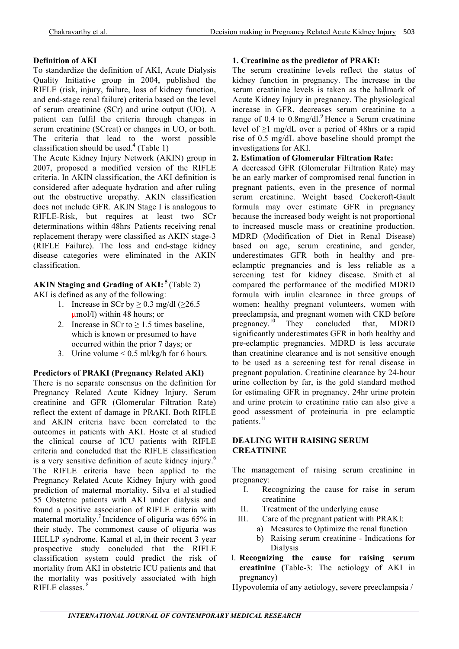# **Definition of AKI**

To standardize the definition of AKI, Acute Dialysis Quality Initiative group in 2004, published the RIFLE (risk, injury, failure, loss of kidney function, and end-stage renal failure) criteria based on the level of serum creatinine (SCr) and urine output (UO). A patient can fulfil the criteria through changes in serum creatinine (SCreat) or changes in UO, or both. The criteria that lead to the worst possible classification should be used. $4$  (Table 1)

The Acute Kidney Injury Network (AKIN) group in 2007, proposed a modified version of the RIFLE criteria. In AKIN classification, the AKI definition is considered after adequate hydration and after ruling out the obstructive uropathy. AKIN classification does not include GFR. AKIN Stage I is analogous to RIFLE-Risk, but requires at least two SCr determinations within 48hrs. Patients receiving renal replacement therapy were classified as AKIN stage-3 (RIFLE Failure). The loss and end-stage kidney disease categories were eliminated in the AKIN classification.

# **AKIN Staging and Grading of AKI: <sup>5</sup>** (Table 2)

AKI is defined as any of the following:

- 1. Increase in SCr by  $\geq$  0.3 mg/dl ( $\geq$ 26.5 μmol/l) within 48 hours; or
- 2. Increase in SCr to  $\geq$  1.5 times baseline, which is known or presumed to have occurred within the prior 7 days; or
- 3. Urine volume < 0.5 ml/kg/h for 6 hours.

#### **Predictors of PRAKI (Pregnancy Related AKI)**

There is no separate consensus on the definition for Pregnancy Related Acute Kidney Injury. Serum creatinine and GFR (Glomerular Filtration Rate) reflect the extent of damage in PRAKI. Both RIFLE and AKIN criteria have been correlated to the outcomes in patients with AKI. Hoste et al studied the clinical course of ICU patients with RIFLE criteria and concluded that the RIFLE classification is a very sensitive definition of acute kidney injury.<sup>6</sup> The RIFLE criteria have been applied to the Pregnancy Related Acute Kidney Injury with good prediction of maternal mortality. Silva et al studied 55 Obstetric patients with AKI under dialysis and found a positive association of RIFLE criteria with maternal mortality.<sup>7</sup> Incidence of oliguria was 65% in their study. The commonest cause of oliguria was HELLP syndrome. Kamal et al, in their recent 3 year prospective study concluded that the RIFLE classification system could predict the risk of mortality from AKI in obstetric ICU patients and that the mortality was positively associated with high RIFLE classes. <sup>8</sup>

## **1. Creatinine as the predictor of PRAKI:**

The serum creatinine levels reflect the status of kidney function in pregnancy. The increase in the serum creatinine levels is taken as the hallmark of Acute Kidney Injury in pregnancy. The physiological increase in GFR, decreases serum creatinine to a range of 0.4 to  $0.8 \text{mg/dl}$ .<sup>9</sup> Hence a Serum creatinine level of ≥1 mg/dL over a period of 48hrs or a rapid rise of 0.5 mg/dL above baseline should prompt the investigations for AKI.

# **2. Estimation of Glomerular Filtration Rate:**

A decreased GFR (Glomerular Filtration Rate) may be an early marker of compromised renal function in pregnant patients, even in the presence of normal serum creatinine. Weight based Cockcroft-Gault formula may over estimate GFR in pregnancy because the increased body weight is not proportional to increased muscle mass or creatinine production. MDRD (Modification of Diet in Renal Disease) based on age, serum creatinine, and gender, underestimates GFR both in healthy and preeclamptic pregnancies and is less reliable as a screening test for kidney disease. Smith et al compared the performance of the modified MDRD formula with inulin clearance in three groups of women: healthy pregnant volunteers, women with preeclampsia, and pregnant women with CKD before pregnancy.<sup>10</sup> They concluded that, MDRD significantly underestimates GFR in both healthy and pre-eclamptic pregnancies. MDRD is less accurate than creatinine clearance and is not sensitive enough to be used as a screening test for renal disease in pregnant population. Creatinine clearance by 24-hour urine collection by far, is the gold standard method for estimating GFR in pregnancy. 24hr urine protein and urine protein to creatinine ratio can also give a good assessment of proteinuria in pre eclamptic patients. $11$ 

#### **DEALING WITH RAISING SERUM CREATININE**

The management of raising serum creatinine in pregnancy:

- I. Recognizing the cause for raise in serum creatinine
- II. Treatment of the underlying cause
- III. Care of the pregnant patient with PRAKI:
	- a) Measures to Optimize the renal function
	- b) Raising serum creatinine Indications for Dialysis
- I. **Recognizing the cause for raising serum creatinine (**Table-3: The aetiology of AKI in pregnancy)

Hypovolemia of any aetiology, severe preeclampsia /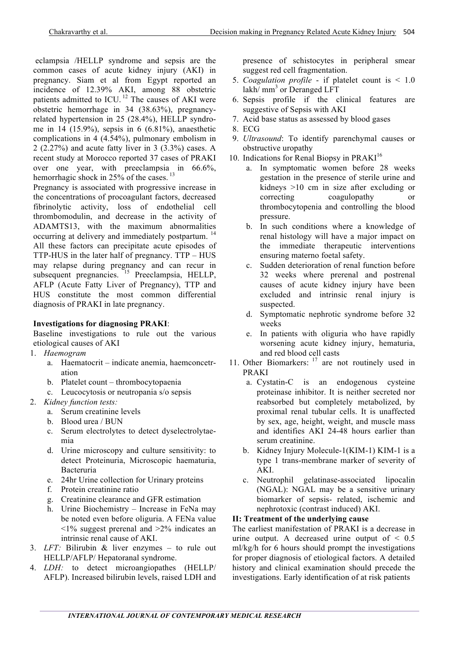eclampsia /HELLP syndrome and sepsis are the common cases of acute kidney injury (AKI) in pregnancy. Siam et al from Egypt reported an incidence of 12.39% AKI, among 88 obstetric patients admitted to ICU.<sup>12</sup> The causes of AKI were obstetric hemorrhage in 34 (38.63%), pregnancyrelated hypertension in 25 (28.4%), HELLP syndrome in 14 (15.9%), sepsis in 6 (6.81%), anaesthetic complications in 4 (4.54%), pulmonary embolism in 2 (2.27%) and acute fatty liver in 3 (3.3%) cases. A recent study at Morocco reported 37 cases of PRAKI over one year, with preeclampsia in 66.6%, hemorrhagic shock in  $25\%$  of the cases.<sup>13</sup>

Pregnancy is associated with progressive increase in the concentrations of procoagulant factors, decreased fibrinolytic activity, loss of endothelial cell thrombomodulin, and decrease in the activity of ADAMTS13, with the maximum abnormalities occurring at delivery and immediately postpartum.<sup>14</sup> All these factors can precipitate acute episodes of TTP-HUS in the later half of pregnancy. TTP – HUS may relapse during pregnancy and can recur in subsequent pregnancies. <sup>15</sup> Preeclampsia, HELLP, AFLP (Acute Fatty Liver of Pregnancy), TTP and HUS constitute the most common differential diagnosis of PRAKI in late pregnancy.

## **Investigations for diagnosing PRAKI**:

Baseline investigations to rule out the various etiological causes of AKI

- 1. *Haemogram*
	- a. Haematocrit indicate anemia, haemconcetration
	- b. Platelet count thrombocytopaenia
	- c. Leucocytosis or neutropania s/o sepsis
- 2. *Kidney function tests:*
	- a. Serum creatinine levels
	- b. Blood urea / BUN
	- c. Serum electrolytes to detect dyselectrolytaemia
	- d. Urine microscopy and culture sensitivity: to detect Proteinuria, Microscopic haematuria, Bacteruria
	- e. 24hr Urine collection for Urinary proteins
	- f. Protein creatinine ratio
	- g. Creatinine clearance and GFR estimation
	- h. Urine Biochemistry Increase in FeNa may be noted even before oliguria. A FENa value  $\leq$ 1% suggest prerenal and  $\geq$ 2% indicates an intrinsic renal cause of AKI.
- 3. *LFT:* Bilirubin & liver enzymes to rule out HELLP/AFLP/ Hepatoranal syndrome.
- 4. *LDH:* to detect microangiopathes (HELLP/ AFLP). Increased bilirubin levels, raised LDH and

presence of schistocytes in peripheral smear suggest red cell fragmentation.

- 5. *Coagulation profile* if platelet count is < 1.0 lakh/ $mm<sup>3</sup>$  or Deranged LFT
- 6. Sepsis profile if the clinical features are suggestive of Sepsis with AKI
- 7. Acid base status as assessed by blood gases
- 8. ECG
- 9. *Ultrasound*: To identify parenchymal causes or obstructive uropathy
- 10. Indications for Renal Biopsy in PRAKI<sup>16</sup>
	- a. In symptomatic women before 28 weeks gestation in the presence of sterile urine and kidneys >10 cm in size after excluding or correcting coagulopathy or thrombocytopenia and controlling the blood pressure.
	- b. In such conditions where a knowledge of renal histology will have a major impact on the immediate therapeutic interventions ensuring materno foetal safety.
	- c. Sudden deterioration of renal function before 32 weeks where prerenal and postrenal causes of acute kidney injury have been excluded and intrinsic renal injury is suspected.
	- d. Symptomatic nephrotic syndrome before 32 weeks
	- e. In patients with oliguria who have rapidly worsening acute kidney injury, hematuria, and red blood cell casts
- 11. Other Biomarkers: <sup>17</sup> are not routinely used in PRAKI
	- a. Cystatin-C is an endogenous cysteine proteinase inhibitor. It is neither secreted nor reabsorbed but completely metabolized, by proximal renal tubular cells. It is unaffected by sex, age, height, weight, and muscle mass and identifies AKI 24-48 hours earlier than serum creatinine.
	- b. Kidney Injury Molecule-1(KIM-1) KIM-1 is a type 1 trans-membrane marker of severity of AKI.
	- c. Neutrophil gelatinase-associated lipocalin (NGAL): NGAL may be a sensitive urinary biomarker of sepsis- related, ischemic and nephrotoxic (contrast induced) AKI.

#### **II: Treatment of the underlying cause**

The earliest manifestation of PRAKI is a decrease in urine output. A decreased urine output of  $\leq 0.5$ ml/kg/h for 6 hours should prompt the investigations for proper diagnosis of etiological factors. A detailed history and clinical examination should precede the investigations. Early identification of at risk patients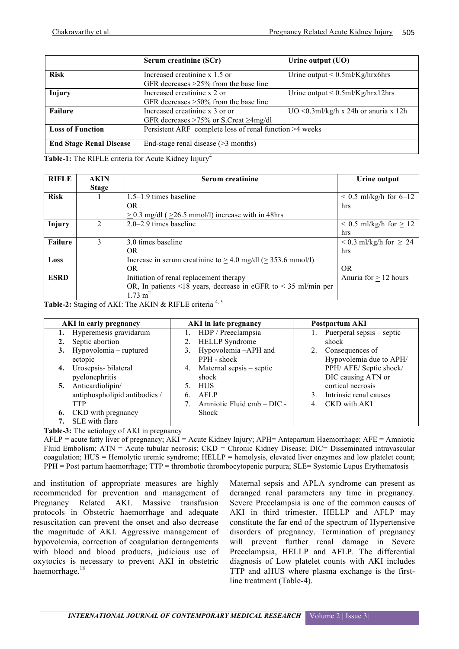|                                | Serum creatinine (SCr)                                                           | Urine output (UO)                           |  |
|--------------------------------|----------------------------------------------------------------------------------|---------------------------------------------|--|
| <b>Risk</b>                    | Increased creatinine x 1.5 or<br>GFR decreases $>25\%$ from the base line        | Urine output $\leq 0.5$ ml/Kg/hrx6hrs       |  |
| Injury                         | Increased creatinine x 2 or<br>GFR decreases $>50\%$ from the base line          | Urine output $\leq 0.5$ ml/Kg/hrx12hrs      |  |
| <b>Failure</b>                 | Increased creatinine x 3 or or<br>GFR decreases $>75\%$ or S.Creat $\geq$ 4mg/dl | $UO \leq 0.3$ ml/kg/h x 24h or anuria x 12h |  |
| <b>Loss of Function</b>        | Persistent ARF complete loss of renal function >4 weeks                          |                                             |  |
| <b>End Stage Renal Disease</b> | End-stage renal disease $($ >3 months)                                           |                                             |  |

Table-1: The RIFLE criteria for Acute Kidney Injury<sup>4</sup>

| <b>RIFLE</b>   | <b>AKIN</b>    | Serum creatinine                                                  | Urine output                     |
|----------------|----------------|-------------------------------------------------------------------|----------------------------------|
|                | <b>Stage</b>   |                                                                   |                                  |
| <b>Risk</b>    |                | $1.5-1.9$ times baseline                                          | $0.5$ ml/kg/h for 6–12           |
|                |                | OR.                                                               | hrs                              |
|                |                | $> 0.3$ mg/dl ( $> 26.5$ mmol/l) increase with in 48hrs           |                                  |
| Injury         | $\mathfrak{D}$ | $2.0 - 2.9$ times baseline                                        | $\leq$ 0.5 ml/kg/h for $>$ 12    |
|                |                |                                                                   | hrs                              |
| <b>Failure</b> | 3              | 3.0 times baseline                                                | $\leq$ 0.3 ml/kg/h for $\geq$ 24 |
|                |                | OR.                                                               | hrs                              |
| Loss           |                | Increase in serum creatinine to $> 4.0$ mg/dl ( $> 353.6$ mmol/l) |                                  |
|                |                | OR.                                                               | <b>OR</b>                        |
| <b>ESRD</b>    |                | Initiation of renal replacement therapy                           | Anuria for $> 12$ hours          |
|                |                | OR, In patients <18 years, decrease in eGFR to < 35 ml/min per    |                                  |
|                |                | $1.73 \text{ m}^2$                                                |                                  |

Table-2: Staging of AKI: The AKIN & RIFLE criteria<sup>4, 5</sup>

| AKI in early pregnancy        | <b>AKI</b> in late pregnancy   | Postpartum AKI               |  |
|-------------------------------|--------------------------------|------------------------------|--|
| 1. Hyperemesis gravidarum     | HDP / Preeclampsia             | Puerperal sepsis – septic    |  |
| Septic abortion               | <b>HELLP</b> Syndrome          | shock                        |  |
| 3. Hypovolemia – ruptured     | Hypovolemia-APH and<br>3.      | Consequences of              |  |
| ectopic                       | PPH - shock                    | Hypovolemia due to APH/      |  |
| 4. Urosepsis-bilateral        | Maternal sepsis – septic<br>4. | PPH/ AFE/ Septic shock/      |  |
| pyelonephritis                | shock                          | DIC causing ATN or           |  |
| 5. Anticardiolipin/           | <b>HUS</b><br>5.               | cortical necrosis            |  |
| antiphospholipid antibodies / | <b>AFLP</b><br>6.              | Intrinsic renal causes<br>3. |  |
| <b>TTP</b>                    | Amniotic Fluid emb - DIC -     | CKD with AKI<br>4.           |  |
| 6. CKD with pregnancy         | Shock                          |                              |  |
| SLE with flare                |                                |                              |  |

**Table-3:** The aetiology of AKI in pregnancy

AFLP = acute fatty liver of pregnancy; AKI = Acute Kidney Injury; APH= Antepartum Haemorrhage; AFE = Amniotic Fluid Embolism; ATN = Acute tubular necrosis; CKD = Chronic Kidney Disease; DIC= Disseminated intravascular coagulation; HUS = Hemolytic uremic syndrome; HELLP = hemolysis, elevated liver enzymes and low platelet count; PPH = Post partum haemorrhage; TTP = thrombotic thrombocytopenic purpura; SLE= Systemic Lupus Erythematosis

and institution of appropriate measures are highly recommended for prevention and management of Pregnancy Related AKI. Massive transfusion protocols in Obstetric haemorrhage and adequate resuscitation can prevent the onset and also decrease the magnitude of AKI. Aggressive management of hypovolemia, correction of coagulation derangements with blood and blood products, judicious use of oxytocics is necessary to prevent AKI in obstetric haemorrhage.18

Maternal sepsis and APLA syndrome can present as deranged renal parameters any time in pregnancy. Severe Preeclampsia is one of the common causes of AKI in third trimester. HELLP and AFLP may constitute the far end of the spectrum of Hypertensive disorders of pregnancy. Termination of pregnancy will prevent further renal damage in Severe Preeclampsia, HELLP and AFLP. The differential diagnosis of Low platelet counts with AKI includes TTP and aHUS where plasma exchange is the firstline treatment (Table-4).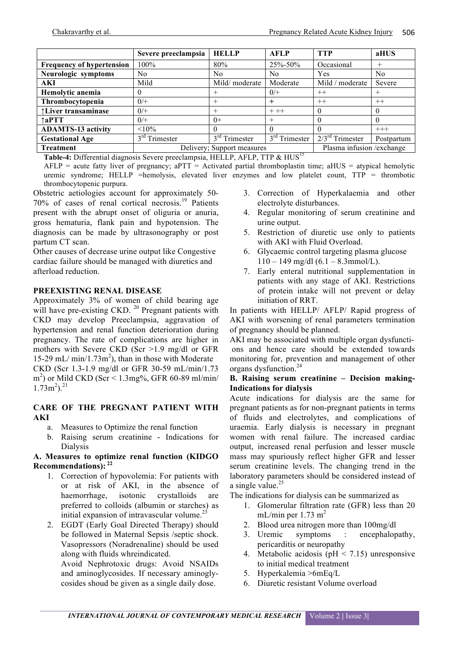|                                  | Severe preeclampsia        | <b>HELLP</b>    | <b>AFLP</b>                | <b>TTP</b>        | aHUS       |
|----------------------------------|----------------------------|-----------------|----------------------------|-------------------|------------|
| <b>Frequency of hypertension</b> | $100\%$                    | 80%             | 25%-50%                    | Occasional        | $^{+}$     |
| Neurologic symptoms              | No                         | No              | N <sub>0</sub>             | Yes               | No         |
| <b>AKI</b>                       | Mild                       | Mild/moderate   | Moderate                   | Mild / moderate   | Severe     |
| Hemolytic anemia                 | $\theta$                   | $^+$            | $0/+$                      | $++$              | $^+$       |
| Thrombocytopenia                 | $0/+$                      |                 | $^{+}$                     | $++$              | $^{++}$    |
| ↑Liver transaminase              | $0/+$                      | $^+$            | $++$                       | $\theta$          | $\theta$   |
| $\uparrow$ aPTT                  | $0/+$                      | $0+$            | $^{+}$                     | $\theta$          | 0          |
| <b>ADAMTS-13 activity</b>        | $< 10\%$                   |                 | $\Omega$                   | $\Omega$          | $+++$      |
| <b>Gestational Age</b>           | $3rd$ Trimester            | $3rd$ Trimester | $3rd$ Trimester            | $2/3rd$ Trimester | Postpartum |
| <b>Treatment</b>                 | Delivery; Support measures |                 | Plasma infusion / exchange |                   |            |

Table-4: Differential diagnosis Severe preeclampsia, HELLP, AFLP, TTP & HUS<sup>15</sup>

 $AFLP =$  acute fatty liver of pregnancy;  $APT =$  Activated partial thromboplastin time;  $AHUS =$  atypical hemolytic uremic syndrome; HELLP =hemolysis, elevated liver enzymes and low platelet count, TTP = thrombotic thrombocytopenic purpura.

Obstetric aetiologies account for approximately 50- 70% of cases of renal cortical necrosis.<sup>19</sup> Patients present with the abrupt onset of oliguria or anuria, gross hematuria, flank pain and hypotension. The diagnosis can be made by ultrasonography or post partum CT scan.

Other causes of decrease urine output like Congestive cardiac failure should be managed with diuretics and afterload reduction.

#### **PREEXISTING RENAL DISEASE**

Approximately 3% of women of child bearing age will have pre-existing CKD.<sup>20</sup> Pregnant patients with CKD may develop Preeclampsia, aggravation of hypertension and renal function deterioration during pregnancy. The rate of complications are higher in mothers with Severe CKD (Scr >1.9 mg/dl or GFR 15-29 mL/ $min/1.73m^2$ , than in those with Moderate CKD (Scr 1.3-1.9 mg/dl or GFR 30-59 mL/min/1.73 m 2 ) or Mild CKD (Scr < 1.3mg%, GFR 60-89 ml/min/  $1.73 \text{m}^2$ ).<sup>21</sup>

#### **CARE OF THE PREGNANT PATIENT WITH AKI**

- a. Measures to Optimize the renal function
- b. Raising serum creatinine Indications for Dialysis

#### **A. Measures to optimize renal function (KIDGO Recommendations): <sup>22</sup>**

- 1. Correction of hypovolemia: For patients with or at risk of AKI, in the absence of haemorrhage, isotonic crystalloids are preferred to colloids (albumin or starches) as initial expansion of intravascular volume.<sup>2</sup>
- 2. EGDT (Early Goal Directed Therapy) should be followed in Maternal Sepsis /septic shock. Vasopressors (Noradrenaline) should be used along with fluids whreindicated.

Avoid Nephrotoxic drugs: Avoid NSAIDs and aminoglycosides. If necessary aminoglycosides shoud be given as a single daily dose.

- 3. Correction of Hyperkalaemia and other electrolyte disturbances.
- 4. Regular monitoring of serum creatinine and urine output.
- 5. Restriction of diuretic use only to patients with AKI with Fluid Overload.
- 6. Glycaemic control targeting plasma glucose 110 – 149 mg/dl (6.1 – 8.3mmol/L).
- 7. Early enteral nutritional supplementation in patients with any stage of AKI. Restrictions of protein intake will not prevent or delay initiation of RRT.

In patients with HELLP/ AFLP/ Rapid progress of AKI with worsening of renal parameters termination of pregnancy should be planned.

AKI may be associated with multiple organ dysfunctions and hence care should be extended towards monitoring for, prevention and management of other organs dysfunction.24

#### **B. Raising serum creatinine – Decision making-Indications for dialysis**

Acute indications for dialysis are the same for pregnant patients as for non-pregnant patients in terms of fluids and electrolytes, and complications of uraemia. Early dialysis is necessary in pregnant women with renal failure. The increased cardiac output, increased renal perfusion and lesser muscle mass may spuriously reflect higher GFR and lesser serum creatinine levels. The changing trend in the laboratory parameters should be considered instead of a single value.<sup>25</sup>

The indications for dialysis can be summarized as

- 1. Glomerular filtration rate (GFR) less than 20 mL/min per  $1.73 \text{ m}^2$
- 2. Blood urea nitrogen more than 100mg/dl
- 3. Uremic symptoms : encephalopathy, pericarditis or neuropathy
- 4. Metabolic acidosis (pH < 7.15) unresponsive to initial medical treatment
- 5. Hyperkalemia >6mEq/L
- 6. Diuretic resistant Volume overload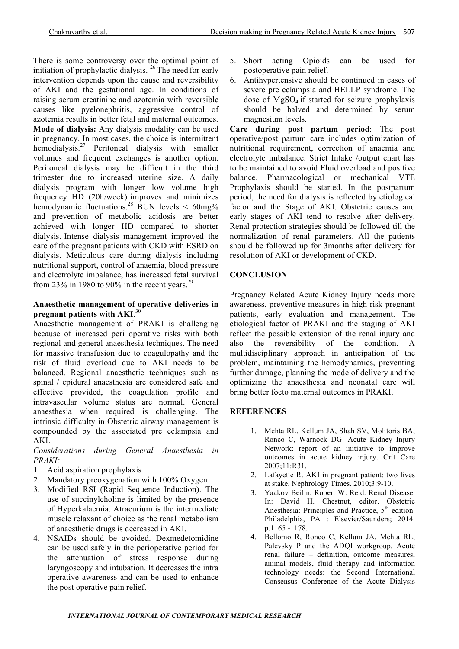There is some controversy over the optimal point of initiation of prophylactic dialysis.  $^{26}$  The need for early intervention depends upon the cause and reversibility of AKI and the gestational age. In conditions of raising serum creatinine and azotemia with reversible causes like pyelonephritis, aggressive control of azotemia results in better fetal and maternal outcomes. **Mode of dialysis:** Any dialysis modality can be used in pregnancy. In most cases, the choice is intermittent hemodialysis.<sup>27</sup> Peritoneal dialysis with smaller volumes and frequent exchanges is another option. Peritoneal dialysis may be difficult in the third trimester due to increased uterine size. A daily dialysis program with longer low volume high frequency HD (20h/week) improves and minimizes hemodynamic fluctuations.<sup>28</sup> BUN levels  $\leq 60$ mg% and prevention of metabolic acidosis are better achieved with longer HD compared to shorter dialysis. Intense dialysis management improved the care of the pregnant patients with CKD with ESRD on dialysis. Meticulous care during dialysis including nutritional support, control of anaemia, blood pressure and electrolyte imbalance, has increased fetal survival from 23% in 1980 to 90% in the recent years.<sup>29</sup>

#### **Anaesthetic management of operative deliveries in pregnant patients with AKI**. 30

Anaesthetic management of PRAKI is challenging because of increased peri operative risks with both regional and general anaesthesia techniques. The need for massive transfusion due to coagulopathy and the risk of fluid overload due to AKI needs to be balanced. Regional anaesthetic techniques such as spinal / epidural anaesthesia are considered safe and effective provided, the coagulation profile and intravascular volume status are normal. General anaesthesia when required is challenging. The intrinsic difficulty in Obstetric airway management is compounded by the associated pre eclampsia and AKI.

*Considerations during General Anaesthesia in PRAKI:* 

- 1. Acid aspiration prophylaxis
- 2. Mandatory preoxygenation with 100% Oxygen
- 3. Modified RSI (Rapid Sequence Induction). The use of succinylcholine is limited by the presence of Hyperkalaemia. Atracurium is the intermediate muscle relaxant of choice as the renal metabolism of anaesthetic drugs is decreased in AKI.
- 4. NSAIDs should be avoided. Dexmedetomidine can be used safely in the perioperative period for the attenuation of stress response during laryngoscopy and intubation. It decreases the intra operative awareness and can be used to enhance the post operative pain relief.
- 5. Short acting Opioids can be used for postoperative pain relief.
- 6. Antihypertensive should be continued in cases of severe pre eclampsia and HELLP syndrome. The dose of  $MgSO<sub>4</sub>$  if started for seizure prophylaxis should be halved and determined by serum magnesium levels.

**Care during post partum period**: The post operative/post partum care includes optimization of nutritional requirement, correction of anaemia and electrolyte imbalance. Strict Intake /output chart has to be maintained to avoid Fluid overload and positive balance. Pharmacological or mechanical VTE Prophylaxis should be started. In the postpartum period, the need for dialysis is reflected by etiological factor and the Stage of AKI. Obstetric causes and early stages of AKI tend to resolve after delivery. Renal protection strategies should be followed till the normalization of renal parameters. All the patients should be followed up for 3months after delivery for resolution of AKI or development of CKD.

# **CONCLUSION**

Pregnancy Related Acute Kidney Injury needs more awareness, preventive measures in high risk pregnant patients, early evaluation and management. The etiological factor of PRAKI and the staging of AKI reflect the possible extension of the renal injury and also the reversibility of the condition. A multidisciplinary approach in anticipation of the problem, maintaining the hemodynamics, preventing further damage, planning the mode of delivery and the optimizing the anaesthesia and neonatal care will bring better foeto maternal outcomes in PRAKI.

#### **REFERENCES**

- 1. Mehta RL, Kellum JA, Shah SV, Molitoris BA, Ronco C, Warnock DG. Acute Kidney Injury Network: report of an initiative to improve outcomes in acute kidney injury. Crit Care 2007;11:R31.
- 2. Lafayette R. AKI in pregnant patient: two lives at stake. Nephrology Times. 2010;3:9-10.
- 3. Yaakov Beilin, Robert W. Reid. Renal Disease. In: David H. Chestnut, editor. Obstetric Anesthesia: Principles and Practice,  $5<sup>th</sup>$  edition. Philadelphia, PA : Elsevier/Saunders; 2014. p.1165 -1178.
- 4. Bellomo R, Ronco C, Kellum JA, Mehta RL, Palevsky P and the ADQI workgroup. Acute renal failure – definition, outcome measures, animal models, fluid therapy and information technology needs: the Second International Consensus Conference of the Acute Dialysis